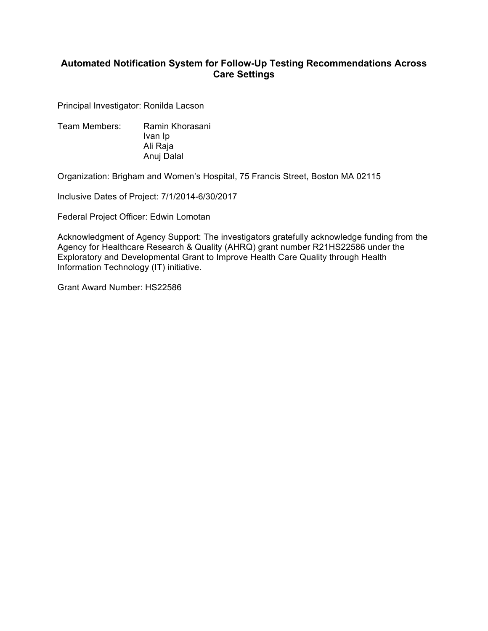# **Automated Notification System for Follow- Up Testing Recommendations Across Care Settings**

Principal Investigator: Ronilda Lacson

 Team Members: Ramin Khorasani Ivan Ip Ali Raja Anuj Dalal

Organization: Brigham and Women's Hospital, 75 Francis Street, Boston MA 02115

Inclusive Dates of Project: 7/1/2014-6/30/2017

Federal Project Officer: Edwin Lomotan

 Acknowledgment of Agency Support: The investigators gratefully acknowledge funding from the Agency for Healthcare Research & Quality (AHRQ) grant number R21HS22586 under the Exploratory and Developmental Grant to Improve Health Care Quality through Health Information Technology (IT) initiative.

Grant Award Number: HS22586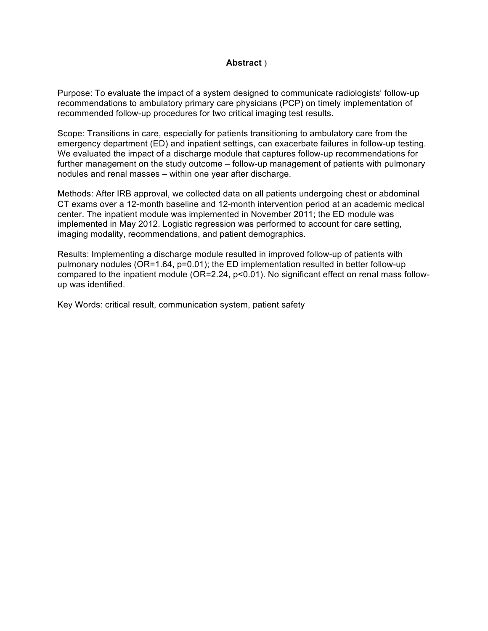### **Abstract** )

 Purpose: To evaluate the impact of a system designed to communicate radiologists' follow-up recommendations to ambulatory primary care physicians (PCP) on timely implementation of recommended follow-up procedures for two critical imaging test results.

 Scope: Transitions in care, especially for patients transitioning to ambulatory care from the emergency department (ED) and inpatient settings, can exacerbate failures in follow-up testing. We evaluated the impact of a discharge module that captures follow-up recommendations for further management on the study outcome – follow-up management of patients with pulmonary nodules and renal masses – within one year after discharge.

 Methods: After IRB approval, we collected data on all patients undergoing chest or abdominal CT exams over a 12-month baseline and 12-month intervention period at an academic medical center. The inpatient module was implemented in November 2011; the ED module was implemented in May 2012. Logistic regression was performed to account for care setting, imaging modality, recommendations, and patient demographics.

 Results: Implementing a discharge module resulted in improved follow-up of patients with pulmonary nodules (OR=1.64, p=0.01); the ED implementation resulted in better follow-up compared to the inpatient module (OR=2.24, p<0.01). No significant effect on renal mass followup was identified. up was identified.<br>Key Words: critical result, communication system, patient safety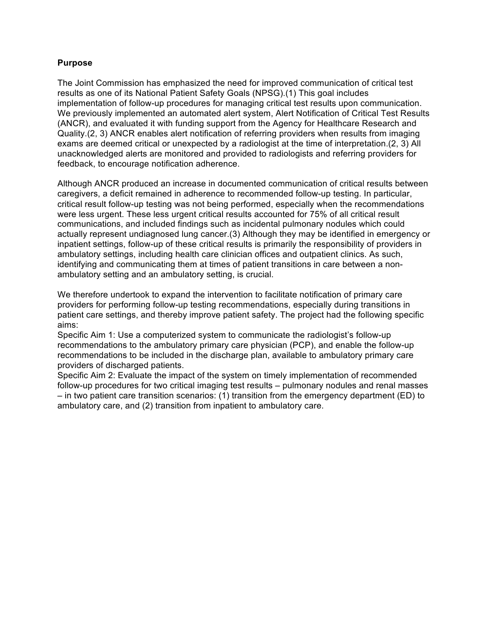### **Purpose**

 The Joint Commission has emphasized the need for improved communication of critical test results as one of its National Patient Safety Goals (NPSG).(1) This goal includes implementation of follow-up procedures for managing critical test results upon communication. We previously implemented an automated alert system, Alert Notification of Critical Test Results (ANCR), and evaluated it with funding support from the Agency for Healthcare Research and Quality.(2, 3) ANCR enables alert notification of referring providers when results from imaging exams are deemed critical or unexpected by a radiologist at the time of interpretation.(2, 3) All unacknowledged alerts are monitored and provided to radiologists and referring providers for feedback, to encourage notification adherence.

 Although ANCR produced an increase in documented communication of critical results between caregivers, a deficit remained in adherence to recommended follow-up testing. In particular, critical result follow-up testing was not being performed, especially when the recommendations were less urgent. These less urgent critical results accounted for 75% of all critical result communications, and included findings such as incidental pulmonary nodules which could actually represent undiagnosed lung cancer.(3) Although they may be identified in emergency or inpatient settings, follow-up of these critical results is primarily the responsibility of providers in ambulatory settings, including health care clinician offices and outpatient clinics. As such, identifying and communicating them at times of patient transitions in care between a non-ambulatory setting and an ambulatory setting, is crucial.

 We therefore undertook to expand the intervention to facilitate notification of primary care providers for performing follow-up testing recommendations, especially during transitions in patient care settings, and thereby improve patient safety. The project had the following specific aims:

 Specific Aim 1: Use a computerized system to communicate the radiologist's follow-up recommendations to the ambulatory primary care physician (PCP), and enable the follow-up recommendations to be included in the discharge plan, available to ambulatory primary care providers of discharged patients.

 Specific Aim 2: Evaluate the impact of the system on timely implementation of recommended follow-up procedures for two critical imaging test results – pulmonary nodules and renal masses – in two patient care transition scenarios: (1) transition from the emergency department (ED) to ambulatory care, and (2) transition from inpatient to ambulatory care.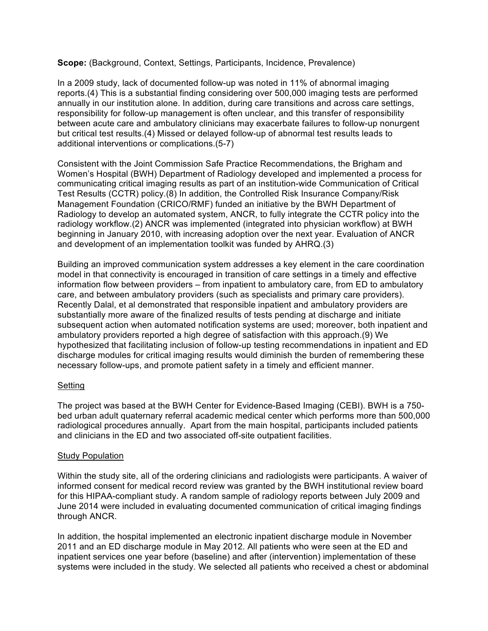**Scope:** (Background, Context, Settings, Participants, Incidence, Prevalence)

 In a 2009 study, lack of documented follow-up was noted in 11% of abnormal imaging reports.(4) This is a substantial finding considering over 500,000 imaging tests are performed annually in our institution alone. In addition, during care transitions and across care settings, responsibility for follow-up management is often unclear, and this transfer of responsibility between acute care and ambulatory clinicians may exacerbate failures to follow-up nonurgent but critical test results.(4) Missed or delayed follow-up of abnormal test results leads to additional interventions or complications.(5-7)

 Consistent with the Joint Commission Safe Practice Recommendations, the Brigham and Women's Hospital (BWH) Department of Radiology developed and implemented a process for communicating critical imaging results as part of an institution-wide Communication of Critical Test Results (CCTR) policy.(8) In addition, the Controlled Risk Insurance Company/Risk Management Foundation (CRICO/RMF) funded an initiative by the BWH Department of Radiology to develop an automated system, ANCR, to fully integrate the CCTR policy into the radiology workflow.(2) ANCR was implemented (integrated into physician workflow) at BWH beginning in January 2010, with increasing adoption over the next year. Evaluation of ANCR and development of an implementation toolkit was funded by AHRQ.(3)

 Building an improved communication system addresses a key element in the care coordination model in that connectivity is encouraged in transition of care settings in a timely and effective information flow between providers – from inpatient to ambulatory care, from ED to ambulatory care, and between ambulatory providers (such as specialists and primary care providers). Recently Dalal, et al demonstrated that responsible inpatient and ambulatory providers are substantially more aware of the finalized results of tests pending at discharge and initiate subsequent action when automated notification systems are used; moreover, both inpatient and ambulatory providers reported a high degree of satisfaction with this approach.(9) We hypothesized that facilitating inclusion of follow-up testing recommendations in inpatient and ED necessary follow-ups, and promote patient safety in a timely and efficient manner. discharge modules for critical imaging results would diminish the burden of remembering these

# Setting

 The project was based at the BWH Center for Evidence-Based Imaging (CEBI). BWH is a 750- bed urban adult quaternary referral academic medical center which performs more than 500,000 radiological procedures annually. Apart from the main hospital, participants included patients and clinicians in the ED and two associated off-site outpatient facilities.

# **Study Population**

 Within the study site, all of the ordering clinicians and radiologists were participants. A waiver of informed consent for medical record review was granted by the BWH institutional review board for this HIPAA-compliant study. A random sample of radiology reports between July 2009 and June 2014 were included in evaluating documented communication of critical imaging findings through ANCR.

through ANCR.<br>In addition, the hospital implemented an electronic inpatient discharge module in November 2011 and an ED discharge module in May 2012. All patients who were seen at the ED and inpatient services one year before (baseline) and after (intervention) implementation of these systems were included in the study. We selected all patients who received a chest or abdominal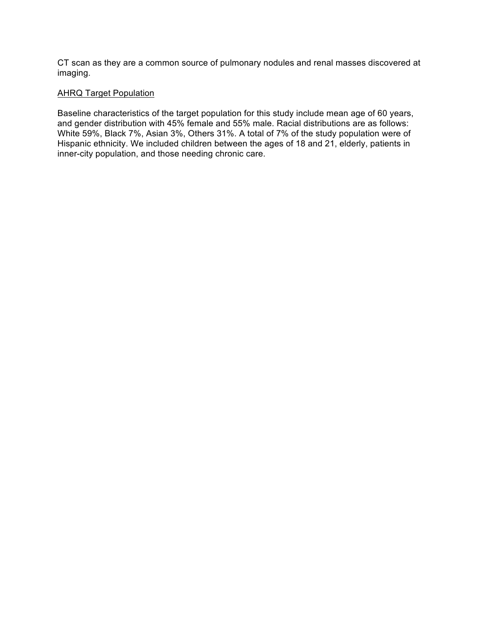CT scan as they are a common source of pulmonary nodules and renal masses discovered at imaging.

### AHRQ Target Population

 Baseline characteristics of the target population for this study include mean age of 60 years, and gender distribution with 45% female and 55% male. Racial distributions are as follows: White 59%, Black 7%, Asian 3%, Others 31%. A total of 7% of the study population were of Hispanic ethnicity. We included children between the ages of 18 and 21, elderly, patients in inner-city population, and those needing chronic care.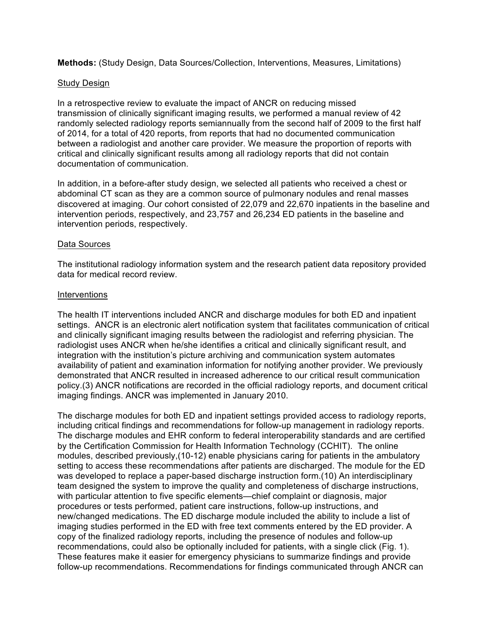**Methods:** (Study Design, Data Sources/Collection, Interventions, Measures, Limitations)

### **Study Design**

 randomly selected radiology reports semiannually from the second half of 2009 to the first half of 2014, for a total of 420 reports, from reports that had no documented communication between a radiologist and another care provider. We measure the proportion of reports with critical and clinically significant results among all radiology reports that did not contain In a retrospective review to evaluate the impact of ANCR on reducing missed transmission of clinically significant imaging results, we performed a manual review of 42 documentation of communication.

 abdominal CT scan as they are a common source of pulmonary nodules and renal masses discovered at imaging. Our cohort consisted of 22,079 and 22,670 inpatients in the baseline and intervention periods, respectively, and 23,757 and 26,234 ED patients in the baseline and intervention periods, respectively. In addition, in a before-after study design, we selected all patients who received a chest or

### Data Sources

 The institutional radiology information system and the research patient data repository provided data for medical record review.

### **Interventions**

 The health IT interventions included ANCR and discharge modules for both ED and inpatient settings. ANCR is an electronic alert notification system that facilitates communication of critical and clinically significant imaging results between the radiologist and referring physician. The radiologist uses ANCR when he/she identifies a critical and clinically significant result, and integration with the institution's picture archiving and communication system automates availability of patient and examination information for notifying another provider. We previously demonstrated that ANCR resulted in increased adherence to our critical result communication policy.(3) ANCR notifications are recorded in the official radiology reports, and document critical imaging findings. ANCR was implemented in January 2010.

 The discharge modules for both ED and inpatient settings provided access to radiology reports, including critical findings and recommendations for follow-up management in radiology reports. The discharge modules and EHR conform to federal interoperability standards and are certified by the Certification Commission for Health Information Technology (CCHIT). The online modules, described previously,(10-12) enable physicians caring for patients in the ambulatory setting to access these recommendations after patients are discharged. The module for the ED was developed to replace a paper-based discharge instruction form.(10) An interdisciplinary with particular attention to five specific elements—chief complaint or diagnosis, major procedures or tests performed, patient care instructions, follow-up instructions, and new/changed medications. The ED discharge module included the ability to include a list of imaging studies performed in the ED with free text comments entered by the ED provider. A copy of the finalized radiology reports, including the presence of nodules and follow-up recommendations, could also be optionally included for patients, with a single click (Fig. 1). These features make it easier for emergency physicians to summarize findings and provide follow-up recommendations. Recommendations for findings communicated through ANCR can team designed the system to improve the quality and completeness of discharge instructions,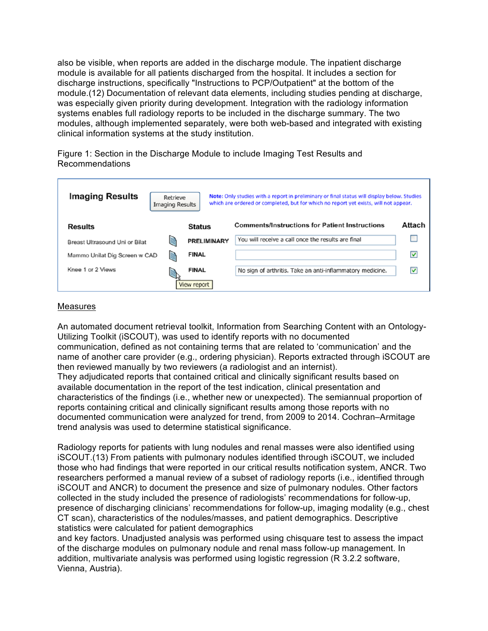also be visible, when reports are added in the discharge module. The inpatient discharge module is available for all patients discharged from the hospital. It includes a section for discharge instructions, specifically "Instructions to PCP/Outpatient" at the bottom of the module.(12) Documentation of relevant data elements, including studies pending at discharge, was especially given priority during development. Integration with the radiology information systems enables full radiology reports to be included in the discharge summary. The two modules, although implemented separately, were both web-based and integrated with existing clinical information systems at the study institution.

 Figure 1: Section in the Discharge Module to include Imaging Test Results and Recommendations

| <b>Imaging Results</b><br>Note: Only studies with a report in preliminary or final status will display below. Studies<br>Retrieve<br>which are ordered or completed, but for which no report yet exists, will not appear.<br><b>Imaging Results</b> |                    |                                                           |        |
|-----------------------------------------------------------------------------------------------------------------------------------------------------------------------------------------------------------------------------------------------------|--------------------|-----------------------------------------------------------|--------|
| <b>Results</b>                                                                                                                                                                                                                                      | <b>Status</b>      | <b>Comments/Instructions for Patient Instructions</b>     | Attach |
| Breast Ultrasound Uni or Bilat                                                                                                                                                                                                                      | <b>PRELIMINARY</b> | You will receive a call once the results are final        |        |
| Mammo Unilat Dig Screen w CAD                                                                                                                                                                                                                       | <b>FINAL</b>       |                                                           | M      |
| Knee 1 or 2 Views                                                                                                                                                                                                                                   | <b>FINAL</b>       | No sign of arthritis. Take an anti-inflammatory medicine. | ⊻      |
|                                                                                                                                                                                                                                                     | View report        |                                                           |        |

### Measures

 An automated document retrieval toolkit, Information from Searching Content with an Ontology- Utilizing Toolkit (iSCOUT), was used to identify reports with no documented communication, defined as not containing terms that are related to 'communication' and the name of another care provider (e.g., ordering physician). Reports extracted through iSCOUT are then reviewed manually by two reviewers (a radiologist and an internist). They adjudicated reports that contained critical and clinically significant results based on available documentation in the report of the test indication, clinical presentation and characteristics of the findings (i.e., whether new or unexpected). The semiannual proportion of reports containing critical and clinically significant results among those reports with no documented communication were analyzed for trend, from 2009 to 2014. Cochran–Armitage trend analysis was used to determine statistical significance.

 Radiology reports for patients with lung nodules and renal masses were also identified using iSCOUT.(13) From patients with pulmonary nodules identified through iSCOUT, we included those who had findings that were reported in our critical results notification system, ANCR. Two researchers performed a manual review of a subset of radiology reports (i.e., identified through iSCOUT and ANCR) to document the presence and size of pulmonary nodules. Other factors presence of discharging clinicians' recommendations for follow-up, imaging modality (e.g., chest CT scan), characteristics of the nodules/masses, and patient demographics. Descriptive statistics were calculated for patient demographics collected in the study included the presence of radiologists' recommendations for follow-up,

 and key factors. Unadjusted analysis was performed using chisquare test to assess the impact addition, multivariate analysis was performed using logistic regression (R 3.2.2 software, of the discharge modules on pulmonary nodule and renal mass follow-up management. In Vienna, Austria).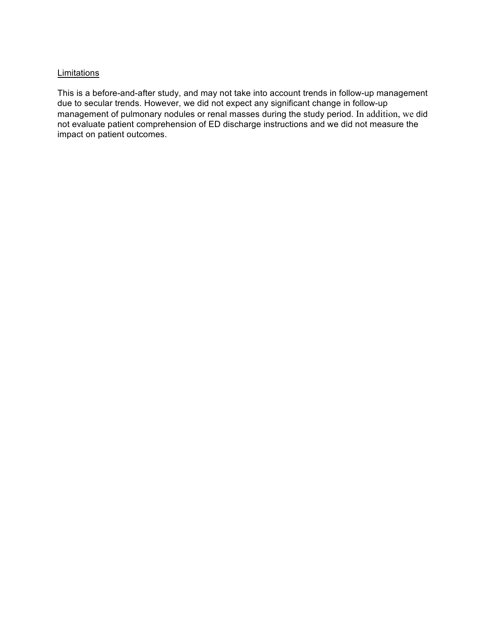### **Limitations**

 This is a before-and-after study, and may not take into account trends in follow-up management due to secular trends. However, we did not expect any significant change in follow-up management of pulmonary nodules or renal masses during the study period. In addition, we did not evaluate patient comprehension of ED discharge instructions and we did not measure the impact on patient outcomes.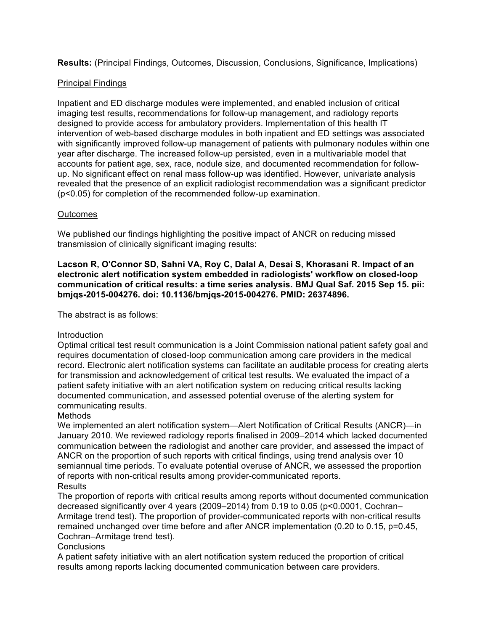**Results:** (Principal Findings, Outcomes, Discussion, Conclusions, Significance, Implications)

# Principal Findings

 Inpatient and ED discharge modules were implemented, and enabled inclusion of critical imaging test results, recommendations for follow-up management, and radiology reports designed to provide access for ambulatory providers. Implementation of this health IT intervention of web-based discharge modules in both inpatient and ED settings was associated with significantly improved follow-up management of patients with pulmonary nodules within one year after discharge. The increased follow-up persisted, even in a multivariable model that accounts for patient age, sex, race, nodule size, and documented recommendation for follow- up. No significant effect on renal mass follow-up was identified. However, univariate analysis revealed that the presence of an explicit radiologist recommendation was a significant predictor (p<0.05) for completion of the recommended follow-up examination.

# **Outcomes**

 We published our findings highlighting the positive impact of ANCR on reducing missed transmission of clinically significant imaging results:

 **Lacson R, O'Connor SD, Sahni VA, Roy C, Dalal A, Desai S, Khorasani R. Impact of an electronic alert notification system embedded in radiologists' workflow on closed-loop communication of critical results: a time series analysis. BMJ Qual Saf. 2015 Sep 15. pii: bmjqs-2015-004276. doi: 10.1136/bmjqs-2015-004276. PMID: 26374896.** 

The abstract is as follows:

# Introduction

 Optimal critical test result communication is a Joint Commission national patient safety goal and requires documentation of closed-loop communication among care providers in the medical record. Electronic alert notification systems can facilitate an auditable process for creating alerts for transmission and acknowledgement of critical test results. We evaluated the impact of a patient safety initiative with an alert notification system on reducing critical results lacking documented communication, and assessed potential overuse of the alerting system for communicating results.

# **Methods**

**Results** We implemented an alert notification system—Alert Notification of Critical Results (ANCR)—in January 2010. We reviewed radiology reports finalised in 2009–2014 which lacked documented communication between the radiologist and another care provider, and assessed the impact of ANCR on the proportion of such reports with critical findings, using trend analysis over 10 semiannual time periods. To evaluate potential overuse of ANCR, we assessed the proportion of reports with non-critical results among provider-communicated reports.

The proportion of reports with critical results among reports without documented communication decreased significantly over 4 years (2009–2014) from 0.19 to 0.05 (p<0.0001, Cochran– Armitage trend test). The proportion of provider-communicated reports with non-critical results remained unchanged over time before and after ANCR implementation (0.20 to 0.15, p=0.45, Cochran–Armitage trend test).

# **Conclusions**

 A patient safety initiative with an alert notification system reduced the proportion of critical results among reports lacking documented communication between care providers.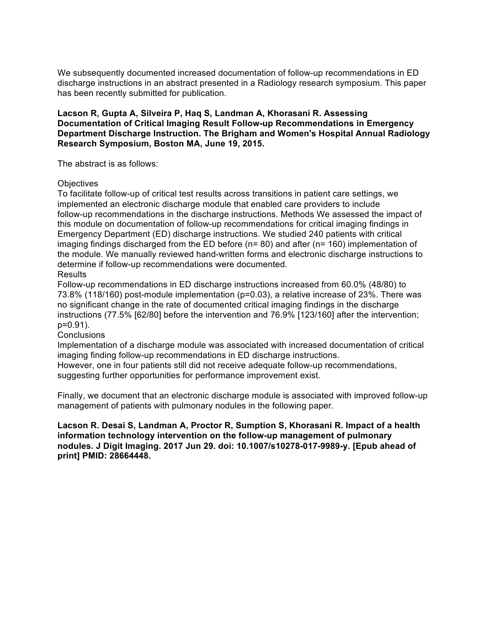We subsequently documented increased documentation of follow-up recommendations in ED discharge instructions in an abstract presented in a Radiology research symposium. This paper has been recently submitted for publication.

 **Lacson R, Gupta A, Silveira P, Haq S, Landman A, Khorasani R. Assessing Documentation of Critical Imaging Result Follow-up Recommendations in Emergency Department Discharge Instruction. The Brigham and Women's Hospital Annual Radiology Research Symposium, Boston MA, June 19, 2015.** 

The abstract is as follows:

### **Objectives**

**Results** To facilitate follow-up of critical test results across transitions in patient care settings, we implemented an electronic discharge module that enabled care providers to include follow-up recommendations in the discharge instructions. Methods We assessed the impact of this module on documentation of follow-up recommendations for critical imaging findings in Emergency Department (ED) discharge instructions. We studied 240 patients with critical imaging findings discharged from the ED before (n= 80) and after (n= 160) implementation of the module. We manually reviewed hand-written forms and electronic discharge instructions to determine if follow-up recommendations were documented.

Follow-up recommendations in ED discharge instructions increased from 60.0% (48/80) to 73.8% (118/160) post-module implementation (p=0.03), a relative increase of 23%. There was no significant change in the rate of documented critical imaging findings in the discharge instructions (77.5% [62/80] before the intervention and 76.9% [123/160] after the intervention; p=0.91).

### **Conclusions**

 imaging finding follow-up recommendations in ED discharge instructions. Implementation of a discharge module was associated with increased documentation of critical

 However, one in four patients still did not receive adequate follow-up recommendations, suggesting further opportunities for performance improvement exist.

 Finally, we document that an electronic discharge module is associated with improved follow-up management of patients with pulmonary nodules in the following paper.

 **Lacson R. Desai S, Landman A, Proctor R, Sumption S, Khorasani R. Impact of a health information technology intervention on the follow-up management of pulmonary nodules. J Digit Imaging. 2017 Jun 29. doi: 10.1007/s10278-017-9989-y. [Epub ahead of print] PMID: 28664448.**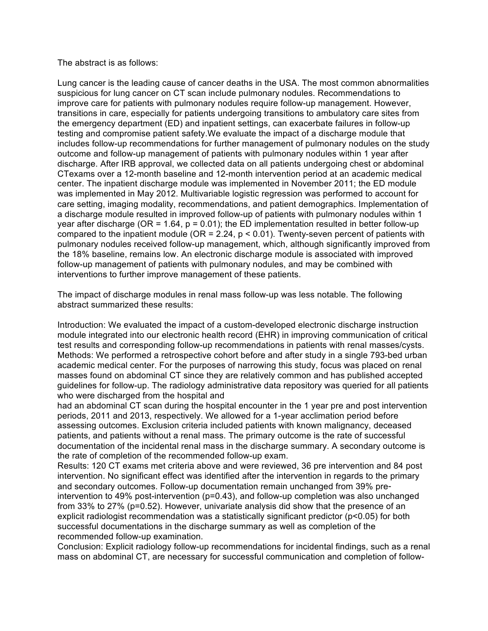#### The abstract is as follows:

 Lung cancer is the leading cause of cancer deaths in the USA. The most common abnormalities suspicious for lung cancer on CT scan include pulmonary nodules. Recommendations to improve care for patients with pulmonary nodules require follow-up management. However, includes follow-up recommendations for further management of pulmonary nodules on the study outcome and follow-up management of patients with pulmonary nodules within 1 year after discharge. After IRB approval, we collected data on all patients undergoing chest or abdominal CTexams over a 12-month baseline and 12-month intervention period at an academic medical center. The inpatient discharge module was implemented in November 2011; the ED module was implemented in May 2012. Multivariable logistic regression was performed to account for care setting, imaging modality, recommendations, and patient demographics. Implementation of a discharge module resulted in improved follow-up of patients with pulmonary nodules within 1 year after discharge (OR = 1.64, p = 0.01); the ED implementation resulted in better follow-up compared to the inpatient module (OR = 2.24,  $p < 0.01$ ). Twenty-seven percent of patients with pulmonary nodules received follow-up management, which, although significantly improved from follow-up management of patients with pulmonary nodules, and may be combined with interventions to further improve management of these patients. transitions in care, especially for patients undergoing transitions to ambulatory care sites from the emergency department (ED) and inpatient settings, can exacerbate failures in follow-up testing and compromise patient safety.We evaluate the impact of a discharge module that the 18% baseline, remains low. An electronic discharge module is associated with improved

 The impact of discharge modules in renal mass follow-up was less notable. The following abstract summarized these results:

Methods: We performed a retrospective cohort before and after study in a single 793-bed urban academic medical center. For the purposes of narrowing this study, focus was placed on renal masses found on abdominal CT since they are relatively common and has published accepted guidelines for follow-up. The radiology administrative data repository was queried for all patients who were discharged from the hospital and Introduction: We evaluated the impact of a custom-developed electronic discharge instruction module integrated into our electronic health record (EHR) in improving communication of critical test results and corresponding follow-up recommendations in patients with renal masses/cysts.

had an abdominal CT scan during the hospital encounter in the 1 year pre and post intervention periods, 2011 and 2013, respectively. We allowed for a 1-year acclimation period before assessing outcomes. Exclusion criteria included patients with known malignancy, deceased patients, and patients without a renal mass. The primary outcome is the rate of successful documentation of the incidental renal mass in the discharge summary. A secondary outcome is the rate of completion of the recommended follow-up exam.

Results: 120 CT exams met criteria above and were reviewed, 36 pre intervention and 84 post intervention. No significant effect was identified after the intervention in regards to the primary and secondary outcomes. Follow-up documentation remain unchanged from 39% preintervention to 49% post-intervention (p=0.43), and follow-up completion was also unchanged from 33% to 27% (p=0.52). However, univariate analysis did show that the presence of an explicit radiologist recommendation was a statistically significant predictor (p<0.05) for both successful documentations in the discharge summary as well as completion of the recommended follow-up examination.

 Conclusion: Explicit radiology follow-up recommendations for incidental findings, such as a renal mass on abdominal CT, are necessary for successful communication and completion of follow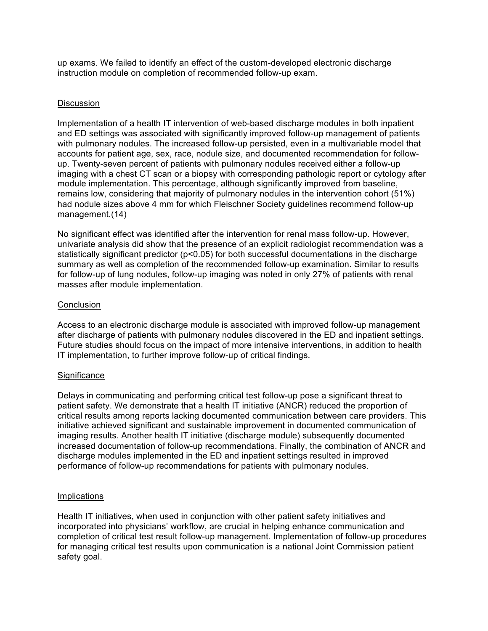up exams. We failed to identify an effect of the custom-developed electronic discharge instruction module on completion of recommended follow-up exam.

### Discussion

 and ED settings was associated with significantly improved follow-up management of patients with pulmonary nodules. The increased follow-up persisted, even in a multivariable model that accounts for patient age, sex, race, nodule size, and documented recommendation for follow- up. Twenty-seven percent of patients with pulmonary nodules received either a follow-up imaging with a chest CT scan or a biopsy with corresponding pathologic report or cytology after module implementation. This percentage, although significantly improved from baseline, remains low, considering that majority of pulmonary nodules in the intervention cohort (51%) had nodule sizes above 4 mm for which Fleischner Society guidelines recommend follow-up Implementation of a health IT intervention of web-based discharge modules in both inpatient management.(14)

 No significant effect was identified after the intervention for renal mass follow-up. However, univariate analysis did show that the presence of an explicit radiologist recommendation was a statistically significant predictor (p<0.05) for both successful documentations in the discharge summary as well as completion of the recommended follow-up examination. Similar to results for follow-up of lung nodules, follow-up imaging was noted in only 27% of patients with renal masses after module implementation.

### **Conclusion**

 Access to an electronic discharge module is associated with improved follow-up management after discharge of patients with pulmonary nodules discovered in the ED and inpatient settings. Future studies should focus on the impact of more intensive interventions, in addition to health IT implementation, to further improve follow-up of critical findings.

### **Significance**

 Delays in communicating and performing critical test follow-up pose a significant threat to patient safety. We demonstrate that a health IT initiative (ANCR) reduced the proportion of critical results among reports lacking documented communication between care providers. This initiative achieved significant and sustainable improvement in documented communication of imaging results. Another health IT initiative (discharge module) subsequently documented increased documentation of follow-up recommendations. Finally, the combination of ANCR and discharge modules implemented in the ED and inpatient settings resulted in improved performance of follow-up recommendations for patients with pulmonary nodules.

### Implications

 Health IT initiatives, when used in conjunction with other patient safety initiatives and incorporated into physicians' workflow, are crucial in helping enhance communication and completion of critical test result follow-up management. Implementation of follow-up procedures for managing critical test results upon communication is a national Joint Commission patient safety goal.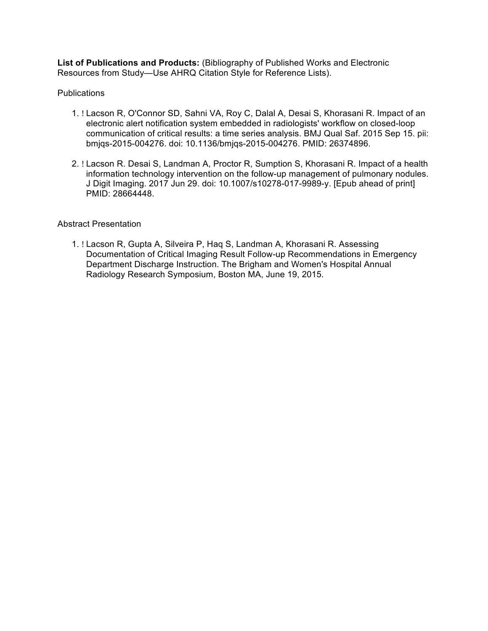**List of Publications and Products:** (Bibliography of Published Works and Electronic Resources from Study—Use AHRQ Citation Style for Reference Lists).

### **Publications**

- 1. ! Lacson R, O'Connor SD, Sahni VA, Roy C, Dalal A, Desai S, Khorasani R. Impact of an electronic alert notification system embedded in radiologists' workflow on closed-loop communication of critical results: a time series analysis. BMJ Qual Saf. 2015 Sep 15. pii: bmjqs-2015-004276. doi: 10.1136/bmjqs-2015-004276. PMID: 26374896.
- 2. ! Lacson R. Desai S, Landman A, Proctor R, Sumption S, Khorasani R. Impact of a health information technology intervention on the follow-up management of pulmonary nodules. J Digit Imaging. 2017 Jun 29. doi: 10.1007/s10278-017-9989-y. [Epub ahead of print] PMID: 28664448.

### Abstract Presentation

1. ! Lacson R, Gupta A, Silveira P, Haq S, Landman A, Khorasani R. Assessing Documentation of Critical Imaging Result Follow-up Recommendations in Emergency Department Discharge Instruction. The Brigham and Women's Hospital Annual Radiology Research Symposium, Boston MA, June 19, 2015.